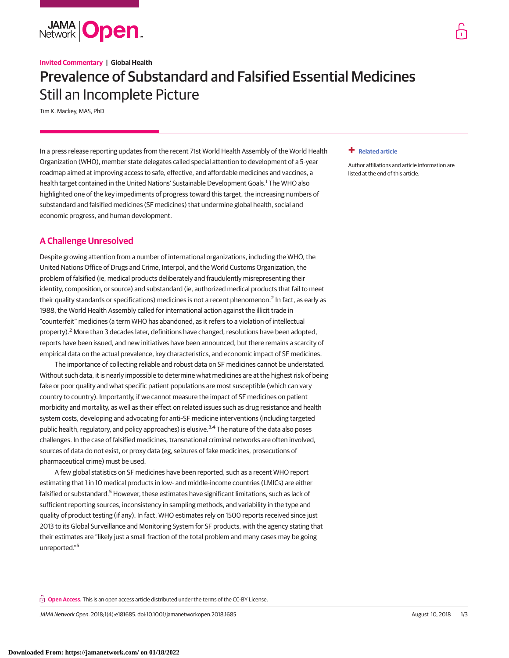

# **Invited Commentary | Global Health** Prevalence of Substandard and Falsified Essential Medicines Still an Incomplete Picture

Tim K. Mackey, MAS, PhD

In a press release reporting updates from the recent 71st World Health Assembly of the World Health Organization (WHO), member state delegates called special attention to development of a 5-year roadmap aimed at improving access to safe, effective, and affordable medicines and vaccines, a health target contained in the United Nations' Sustainable Development Goals.<sup>1</sup> The WHO also highlighted one of the key impediments of progress toward this target, the increasing numbers of substandard and falsified medicines (SF medicines) that undermine global health, social and economic progress, and human development.

# **A Challenge Unresolved**

Despite growing attention from a number of international organizations, including the WHO, the United Nations Office of Drugs and Crime, Interpol, and the World Customs Organization, the problem of falsified (ie, medical products deliberately and fraudulently misrepresenting their identity, composition, or source) and substandard (ie, authorized medical products that fail to meet their quality standards or specifications) medicines is not a recent phenomenon.<sup>2</sup> In fact, as early as 1988, the World Health Assembly called for international action against the illicit trade in "counterfeit" medicines (a term WHO has abandoned, as it refers to a violation of intellectual property).<sup>2</sup> More than 3 decades later, definitions have changed, resolutions have been adopted, reports have been issued, and new initiatives have been announced, but there remains a scarcity of empirical data on the actual prevalence, key characteristics, and economic impact of SF medicines.

The importance of collecting reliable and robust data on SF medicines cannot be understated. Without such data, it is nearly impossible to determine what medicines are at the highest risk of being fake or poor quality and what specific patient populations are most susceptible (which can vary country to country). Importantly, if we cannot measure the impact of SF medicines on patient morbidity and mortality, as well as their effect on related issues such as drug resistance and health system costs, developing and advocating for anti–SF medicine interventions (including targeted public health, regulatory, and policy approaches) is elusive.<sup>3,4</sup> The nature of the data also poses challenges. In the case of falsified medicines, transnational criminal networks are often involved, sources of data do not exist, or proxy data (eg, seizures of fake medicines, prosecutions of pharmaceutical crime) must be used.

A few global statistics on SF medicines have been reported, such as a recent WHO report estimating that 1 in 10 medical products in low- and middle-income countries (LMICs) are either falsified or substandard.<sup>5</sup> However, these estimates have significant limitations, such as lack of sufficient reporting sources, inconsistency in sampling methods, and variability in the type and quality of product testing (if any). In fact, WHO estimates rely on 1500 reports received since just 2013 to its Global Surveillance and Monitoring System for SF products, with the agency stating that their estimates are "likely just a small fraction of the total problem and many cases may be going unreported."<sup>5</sup>

**Open Access.** This is an open access article distributed under the terms of the CC-BY License.

JAMA Network Open. 2018;1(4):e181685. doi:10.1001/jamanetworkopen.2018.1685 August 10, 2018 1/3

## **+ [Related article](https://jama.jamanetwork.com/article.aspx?doi=10.1001/jamanetworkopen.2018.1662&utm_campaign=articlePDF%26utm_medium=articlePDFlink%26utm_source=articlePDF%26utm_content=jamanetworkopen.2018.1685)**

[Author affiliations and article information are](https://jama.jamanetwork.com/article.aspx?doi=10.1001/jamanetworkopen.2018.1662&utm_campaign=articlePDF%26utm_medium=articlePDFlink%26utm_source=articlePDF%26utm_content=jamanetworkopen.2018.1685) [listed at the end of this article.](https://jama.jamanetwork.com/article.aspx?doi=10.1001/jamanetworkopen.2018.1662&utm_campaign=articlePDF%26utm_medium=articlePDFlink%26utm_source=articlePDF%26utm_content=jamanetworkopen.2018.1685)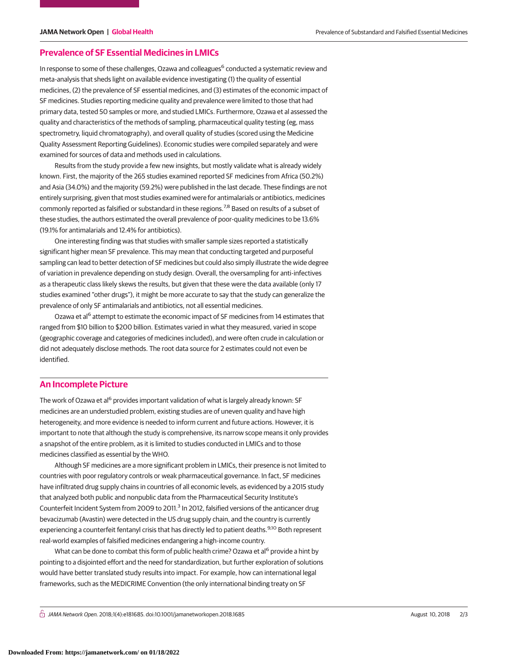# **Prevalence of SF Essential Medicines in LMICs**

In response to some of these challenges, Ozawa and colleagues<sup>6</sup> conducted a systematic review and meta-analysis that sheds light on available evidence investigating (1) the quality of essential medicines, (2) the prevalence of SF essential medicines, and (3) estimates of the economic impact of SF medicines. Studies reporting medicine quality and prevalence were limited to those that had primary data, tested 50 samples or more, and studied LMICs. Furthermore, Ozawa et al assessed the quality and characteristics of the methods of sampling, pharmaceutical quality testing (eg, mass spectrometry, liquid chromatography), and overall quality of studies (scored using the Medicine Quality Assessment Reporting Guidelines). Economic studies were compiled separately and were examined for sources of data and methods used in calculations.

Results from the study provide a few new insights, but mostly validate what is already widely known. First, the majority of the 265 studies examined reported SF medicines from Africa (50.2%) and Asia (34.0%) and the majority (59.2%) were published in the last decade. These findings are not entirely surprising, given that most studies examined were for antimalarials or antibiotics, medicines commonly reported as falsified or substandard in these regions.<sup>7,8</sup> Based on results of a subset of these studies, the authors estimated the overall prevalence of poor-quality medicines to be 13.6% (19.1% for antimalarials and 12.4% for antibiotics).

One interesting finding was that studies with smaller sample sizes reported a statistically significant higher mean SF prevalence. This may mean that conducting targeted and purposeful sampling can lead to better detection of SF medicines but could also simply illustrate the wide degree of variation in prevalence depending on study design. Overall, the oversampling for anti-infectives as a therapeutic class likely skews the results, but given that these were the data available (only 17 studies examined "other drugs"), it might be more accurate to say that the study can generalize the prevalence of only SF antimalarials and antibiotics, not all essential medicines.

Ozawa et al<sup>6</sup> attempt to estimate the economic impact of SF medicines from 14 estimates that ranged from \$10 billion to \$200 billion. Estimates varied in what they measured, varied in scope (geographic coverage and categories of medicines included), and were often crude in calculation or did not adequately disclose methods. The root data source for 2 estimates could not even be identified.

# **An Incomplete Picture**

The work of Ozawa et al<sup>6</sup> provides important validation of what is largely already known: SF medicines are an understudied problem, existing studies are of uneven quality and have high heterogeneity, and more evidence is needed to inform current and future actions. However, it is important to note that although the study is comprehensive, its narrow scope means it only provides a snapshot of the entire problem, as it is limited to studies conducted in LMICs and to those medicines classified as essential by the WHO.

Although SF medicines are a more significant problem in LMICs, their presence is not limited to countries with poor regulatory controls or weak pharmaceutical governance. In fact, SF medicines have infiltrated drug supply chains in countries of all economic levels, as evidenced by a 2015 study that analyzed both public and nonpublic data from the Pharmaceutical Security Institute's Counterfeit Incident System from 2009 to 2011.<sup>3</sup> In 2012, falsified versions of the anticancer drug bevacizumab (Avastin) were detected in the US drug supply chain, and the country is currently experiencing a counterfeit fentanyl crisis that has directly led to patient deaths.<sup>9,10</sup> Both represent real-world examples of falsified medicines endangering a high-income country.

What can be done to combat this form of public health crime? Ozawa et al<sup>6</sup> provide a hint by pointing to a disjointed effort and the need for standardization, but further exploration of solutions would have better translated study results into impact. For example, how can international legal frameworks, such as the MEDICRIME Convention (the only international binding treaty on SF

 $\bigcap$  JAMA Network Open. 2018;1(4):e181685. doi:10.1001/jamanetworkopen.2018.1685 August 10, 2018 2/3